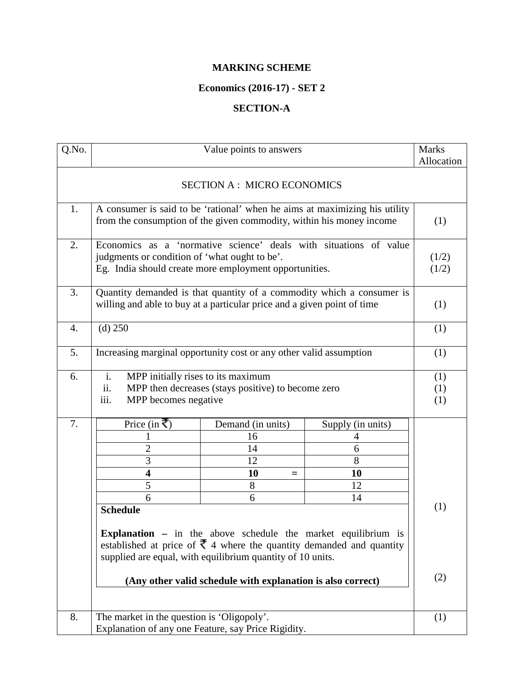## **MARKING SCHEME**

## **Economics (2016-17) - SET 2**

## **SECTION-A**

| Q.No. |                                                                                         | Value points to answers                                                 |                                                                       | <b>Marks</b><br>Allocation |
|-------|-----------------------------------------------------------------------------------------|-------------------------------------------------------------------------|-----------------------------------------------------------------------|----------------------------|
|       |                                                                                         |                                                                         |                                                                       |                            |
|       |                                                                                         | <b>SECTION A: MICRO ECONOMICS</b>                                       |                                                                       |                            |
| 1.    | A consumer is said to be 'rational' when he aims at maximizing his utility              |                                                                         |                                                                       |                            |
|       |                                                                                         | from the consumption of the given commodity, within his money income    |                                                                       | (1)                        |
| 2.    | Economics as a 'normative science' deals with situations of value                       |                                                                         |                                                                       |                            |
|       | judgments or condition of 'what ought to be'.                                           |                                                                         |                                                                       | (1/2)                      |
|       |                                                                                         | Eg. India should create more employment opportunities.                  |                                                                       | (1/2)                      |
| 3.    |                                                                                         |                                                                         | Quantity demanded is that quantity of a commodity which a consumer is |                            |
|       |                                                                                         | willing and able to buy at a particular price and a given point of time |                                                                       | (1)                        |
| 4.    | $(d)$ 250                                                                               |                                                                         |                                                                       | (1)                        |
| 5.    |                                                                                         | Increasing marginal opportunity cost or any other valid assumption      |                                                                       | (1)                        |
| 6.    | i.<br>MPP initially rises to its maximum                                                |                                                                         |                                                                       | (1)                        |
|       | ii.                                                                                     | MPP then decreases (stays positive) to become zero                      |                                                                       | (1)                        |
|       | iii.<br>MPP becomes negative                                                            |                                                                         |                                                                       | (1)                        |
| 7.    | Price (in ₹)                                                                            | Demand (in units)                                                       | Supply (in units)                                                     |                            |
|       |                                                                                         | 16                                                                      | 4                                                                     |                            |
|       | $\overline{2}$                                                                          | 14                                                                      | 6                                                                     |                            |
|       | 3                                                                                       | 12                                                                      | 8                                                                     |                            |
|       | $\overline{\mathbf{4}}$                                                                 | 10<br>$=$                                                               | 10                                                                    |                            |
|       | 5                                                                                       | 8                                                                       | 12                                                                    |                            |
|       | 6                                                                                       | 6                                                                       | 14                                                                    |                            |
|       | <b>Schedule</b>                                                                         |                                                                         |                                                                       | (1)                        |
|       | <b>Explanation</b> $-$ in the above schedule the market equilibrium is                  |                                                                         |                                                                       |                            |
|       | established at price of $\bar{\mathfrak{r}}$ 4 where the quantity demanded and quantity |                                                                         |                                                                       |                            |
|       | supplied are equal, with equilibrium quantity of 10 units.                              |                                                                         |                                                                       |                            |
|       | (Any other valid schedule with explanation is also correct)                             |                                                                         |                                                                       | (2)                        |
|       |                                                                                         |                                                                         |                                                                       |                            |
| 8.    | The market in the question is 'Oligopoly'.                                              |                                                                         |                                                                       | (1)                        |
|       |                                                                                         | Explanation of any one Feature, say Price Rigidity.                     |                                                                       |                            |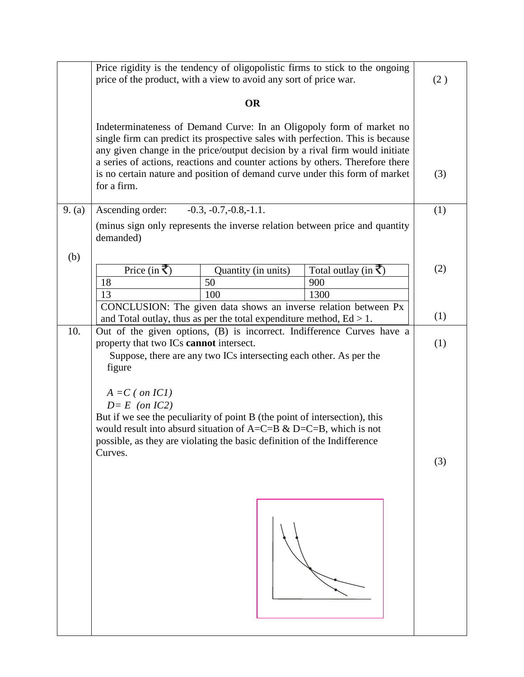|        | Price rigidity is the tendency of oligopolistic firms to stick to the ongoing<br>price of the product, with a view to avoid any sort of price war.                                                                                                                                                                                                                                                                    | (2) |
|--------|-----------------------------------------------------------------------------------------------------------------------------------------------------------------------------------------------------------------------------------------------------------------------------------------------------------------------------------------------------------------------------------------------------------------------|-----|
|        | <b>OR</b>                                                                                                                                                                                                                                                                                                                                                                                                             |     |
|        | Indeterminateness of Demand Curve: In an Oligopoly form of market no<br>single firm can predict its prospective sales with perfection. This is because<br>any given change in the price/output decision by a rival firm would initiate<br>a series of actions, reactions and counter actions by others. Therefore there<br>is no certain nature and position of demand curve under this form of market<br>for a firm. | (3) |
|        |                                                                                                                                                                                                                                                                                                                                                                                                                       |     |
| 9. (a) | $-0.3, -0.7, -0.8, -1.1.$<br>Ascending order:                                                                                                                                                                                                                                                                                                                                                                         | (1) |
|        | (minus sign only represents the inverse relation between price and quantity<br>demanded)                                                                                                                                                                                                                                                                                                                              |     |
| (b)    |                                                                                                                                                                                                                                                                                                                                                                                                                       |     |
|        | Price (in ₹)<br>Total outlay (in $\vec{\tau}$ )<br>Quantity (in units)                                                                                                                                                                                                                                                                                                                                                | (2) |
|        | 50<br>18<br>900                                                                                                                                                                                                                                                                                                                                                                                                       |     |
|        | 1300<br>100<br>13                                                                                                                                                                                                                                                                                                                                                                                                     |     |
|        | CONCLUSION: The given data shows an inverse relation between Px                                                                                                                                                                                                                                                                                                                                                       | (1) |
| 10.    | and Total outlay, thus as per the total expenditure method, $Ed > 1$ .<br>Out of the given options, (B) is incorrect. Indifference Curves have a                                                                                                                                                                                                                                                                      |     |
|        | property that two ICs cannot intersect.<br>Suppose, there are any two ICs intersecting each other. As per the<br>figure<br>$A = C$ ( on IC1)<br>$D = E$ (on IC2)<br>But if we see the peculiarity of point B (the point of intersection), this<br>would result into absurd situation of $A=C=B \& D=C=B$ , which is not<br>possible, as they are violating the basic definition of the Indifference<br>Curves.        |     |
|        |                                                                                                                                                                                                                                                                                                                                                                                                                       | (3) |
|        |                                                                                                                                                                                                                                                                                                                                                                                                                       |     |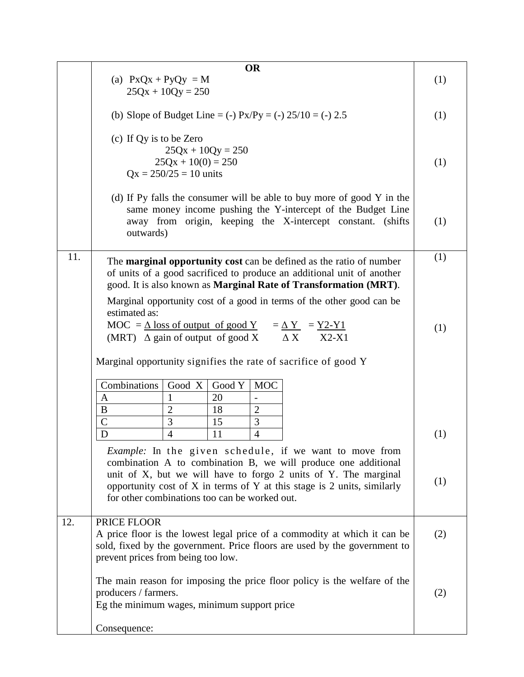|     | <b>OR</b><br>(a) $PxQx + PyQy = M$<br>$25Qx + 10Qy = 250$                                                                                                                                                                                                                                                                       | (1) |
|-----|---------------------------------------------------------------------------------------------------------------------------------------------------------------------------------------------------------------------------------------------------------------------------------------------------------------------------------|-----|
|     | (b) Slope of Budget Line = (-) $Px/Py = (-25/10) = (-2.5)$                                                                                                                                                                                                                                                                      | (1) |
|     | (c) If Qy is to be Zero<br>$25Qx + 10Qy = 250$<br>$25Qx + 10(0) = 250$<br>$Qx = 250/25 = 10$ units                                                                                                                                                                                                                              | (1) |
|     | (d) If Py falls the consumer will be able to buy more of good Y in the<br>same money income pushing the Y-intercept of the Budget Line<br>away from origin, keeping the X-intercept constant. (shifts<br>outwards)                                                                                                              | (1) |
| 11. | The <b>marginal opportunity cost</b> can be defined as the ratio of number<br>of units of a good sacrificed to produce an additional unit of another<br>good. It is also known as <b>Marginal Rate of Transformation (MRT).</b>                                                                                                 | (1) |
|     | Marginal opportunity cost of a good in terms of the other good can be<br>estimated as:<br>MOC = $\Delta$ loss of output of good Y = $\Delta$ Y = Y2-Y1<br>(MRT) $\Delta$ gain of output of good X $\Delta$ X<br>$X2-X1$                                                                                                         | (1) |
|     | Marginal opportunity signifies the rate of sacrifice of good Y                                                                                                                                                                                                                                                                  |     |
|     | Combinations<br>Good X<br>Good Y<br><b>MOC</b><br>20<br>A<br>1<br>$\overline{\phantom{0}}$<br>$\overline{2}$<br>18<br>B<br>$\overline{2}$                                                                                                                                                                                       |     |
|     | $\overline{C}$<br>3<br>3<br>15<br>$\overline{4}$<br>$\overline{4}$<br>D<br>11                                                                                                                                                                                                                                                   | (1) |
|     | <i>Example:</i> In the given schedule, if we want to move from<br>combination A to combination B, we will produce one additional<br>unit of X, but we will have to forgo 2 units of Y. The marginal<br>opportunity cost of X in terms of Y at this stage is 2 units, similarly<br>for other combinations too can be worked out. | (1) |
| 12. | PRICE FLOOR<br>A price floor is the lowest legal price of a commodity at which it can be<br>sold, fixed by the government. Price floors are used by the government to<br>prevent prices from being too low.                                                                                                                     | (2) |
|     | The main reason for imposing the price floor policy is the welfare of the<br>producers / farmers.<br>Eg the minimum wages, minimum support price                                                                                                                                                                                | (2) |
|     | Consequence:                                                                                                                                                                                                                                                                                                                    |     |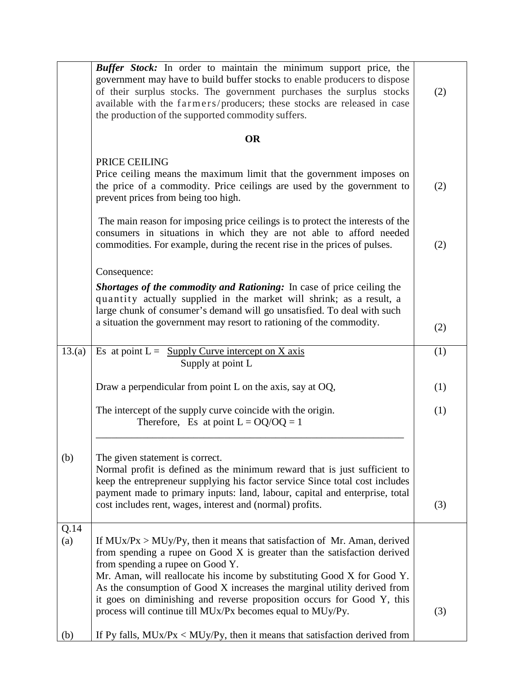|             | <b>Buffer Stock:</b> In order to maintain the minimum support price, the<br>government may have to build buffer stocks to enable producers to dispose<br>of their surplus stocks. The government purchases the surplus stocks<br>available with the farmers/producers; these stocks are released in case<br>the production of the supported commodity suffers.                                                                                                                             | (2) |
|-------------|--------------------------------------------------------------------------------------------------------------------------------------------------------------------------------------------------------------------------------------------------------------------------------------------------------------------------------------------------------------------------------------------------------------------------------------------------------------------------------------------|-----|
|             | <b>OR</b>                                                                                                                                                                                                                                                                                                                                                                                                                                                                                  |     |
|             | PRICE CEILING<br>Price ceiling means the maximum limit that the government imposes on<br>the price of a commodity. Price ceilings are used by the government to<br>prevent prices from being too high.                                                                                                                                                                                                                                                                                     | (2) |
|             | The main reason for imposing price ceilings is to protect the interests of the<br>consumers in situations in which they are not able to afford needed<br>commodities. For example, during the recent rise in the prices of pulses.                                                                                                                                                                                                                                                         | (2) |
|             | Consequence:                                                                                                                                                                                                                                                                                                                                                                                                                                                                               |     |
|             | <b>Shortages of the commodity and Rationing:</b> In case of price ceiling the<br>quantity actually supplied in the market will shrink; as a result, a<br>large chunk of consumer's demand will go unsatisfied. To deal with such                                                                                                                                                                                                                                                           |     |
|             | a situation the government may resort to rationing of the commodity.                                                                                                                                                                                                                                                                                                                                                                                                                       | (2) |
| 13.(a)      | Es at point $L =$ Supply Curve intercept on X axis<br>Supply at point L                                                                                                                                                                                                                                                                                                                                                                                                                    | (1) |
|             | Draw a perpendicular from point L on the axis, say at $OQ$ ,                                                                                                                                                                                                                                                                                                                                                                                                                               | (1) |
|             | The intercept of the supply curve coincide with the origin.<br>Therefore, Es at point $L = OQ/QQ = 1$                                                                                                                                                                                                                                                                                                                                                                                      | (1) |
| (b)         | The given statement is correct.<br>Normal profit is defined as the minimum reward that is just sufficient to<br>keep the entrepreneur supplying his factor service Since total cost includes<br>payment made to primary inputs: land, labour, capital and enterprise, total<br>cost includes rent, wages, interest and (normal) profits.                                                                                                                                                   | (3) |
| Q.14<br>(a) | If $MUx/Px > MUy/Py$ , then it means that satisfaction of Mr. Aman, derived<br>from spending a rupee on Good X is greater than the satisfaction derived<br>from spending a rupee on Good Y.<br>Mr. Aman, will reallocate his income by substituting Good X for Good Y.<br>As the consumption of Good X increases the marginal utility derived from<br>it goes on diminishing and reverse proposition occurs for Good Y, this<br>process will continue till MUx/Px becomes equal to MUy/Py. | (3) |
| (b)         | If Py falls, $MUx/Px < MUy/Py$ , then it means that satisfaction derived from                                                                                                                                                                                                                                                                                                                                                                                                              |     |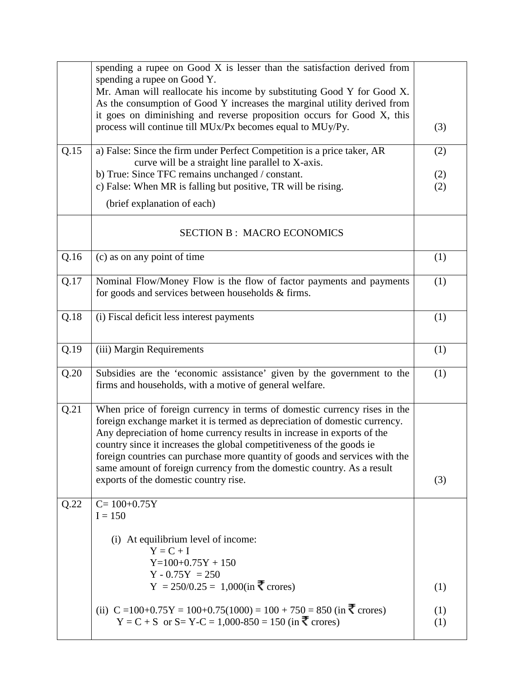|      | spending a rupee on Good X is lesser than the satisfaction derived from                                                                               |            |
|------|-------------------------------------------------------------------------------------------------------------------------------------------------------|------------|
|      | spending a rupee on Good Y.<br>Mr. Aman will reallocate his income by substituting Good Y for Good X.                                                 |            |
|      | As the consumption of Good Y increases the marginal utility derived from                                                                              |            |
|      | it goes on diminishing and reverse proposition occurs for Good X, this<br>process will continue till MUx/Px becomes equal to MUy/Py.                  |            |
|      |                                                                                                                                                       | (3)        |
| Q.15 | a) False: Since the firm under Perfect Competition is a price taker, AR                                                                               | (2)        |
|      | curve will be a straight line parallel to X-axis.                                                                                                     |            |
|      | b) True: Since TFC remains unchanged / constant.<br>c) False: When MR is falling but positive, TR will be rising.                                     | (2)<br>(2) |
|      |                                                                                                                                                       |            |
|      | (brief explanation of each)                                                                                                                           |            |
|      | <b>SECTION B: MACRO ECONOMICS</b>                                                                                                                     |            |
| Q.16 | (c) as on any point of time                                                                                                                           | (1)        |
| Q.17 | Nominal Flow/Money Flow is the flow of factor payments and payments                                                                                   | (1)        |
|      | for goods and services between households & firms.                                                                                                    |            |
| Q.18 | (i) Fiscal deficit less interest payments                                                                                                             | (1)        |
|      |                                                                                                                                                       |            |
| Q.19 | (iii) Margin Requirements                                                                                                                             | (1)        |
| Q.20 | Subsidies are the 'economic assistance' given by the government to the<br>firms and households, with a motive of general welfare.                     | (1)        |
| Q.21 | When price of foreign currency in terms of domestic currency rises in the                                                                             |            |
|      | foreign exchange market it is termed as depreciation of domestic currency.<br>Any depreciation of home currency results in increase in exports of the |            |
|      | country since it increases the global competitiveness of the goods ie                                                                                 |            |
|      | foreign countries can purchase more quantity of goods and services with the                                                                           |            |
|      | same amount of foreign currency from the domestic country. As a result                                                                                |            |
|      | exports of the domestic country rise.                                                                                                                 | (3)        |
| Q.22 | $C = 100+0.75Y$                                                                                                                                       |            |
|      | $I = 150$                                                                                                                                             |            |
|      | (i) At equilibrium level of income:                                                                                                                   |            |
|      | $Y = C + I$                                                                                                                                           |            |
|      | $Y=100+0.75Y+150$<br>$Y - 0.75Y = 250$                                                                                                                |            |
|      | Y = 250/0.25 = 1,000(in ₹ crores)                                                                                                                     | (1)        |
|      | (ii) $C = 100+0.75Y = 100+0.75(1000) = 100 + 750 = 850$ (in $\overline{\xi}$ crores)                                                                  |            |
|      | Y = C + S or S= Y-C = 1,000-850 = 150 (in ₹ crores)                                                                                                   | (1)<br>(1) |
|      |                                                                                                                                                       |            |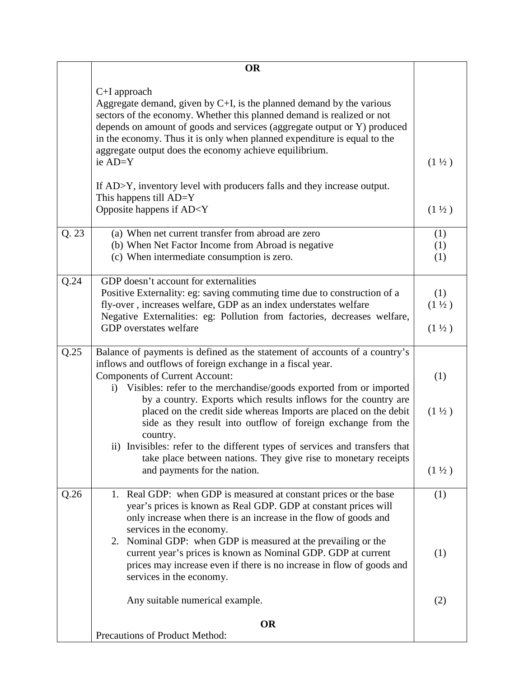|      | <b>OR</b>                                                                                                                                                                                                                                                                                                                                                                                                                                                                                                                                                                                                                                                         |                                               |
|------|-------------------------------------------------------------------------------------------------------------------------------------------------------------------------------------------------------------------------------------------------------------------------------------------------------------------------------------------------------------------------------------------------------------------------------------------------------------------------------------------------------------------------------------------------------------------------------------------------------------------------------------------------------------------|-----------------------------------------------|
|      | $C+I$ approach<br>Aggregate demand, given by $C+I$ , is the planned demand by the various<br>sectors of the economy. Whether this planned demand is realized or not<br>depends on amount of goods and services (aggregate output or Y) produced<br>in the economy. Thus it is only when planned expenditure is equal to the<br>aggregate output does the economy achieve equilibrium.<br>ie AD=Y                                                                                                                                                                                                                                                                  | $(1 \frac{1}{2})$                             |
|      | If AD>Y, inventory level with producers falls and they increase output.<br>This happens till $AD=Y$<br>Opposite happens if AD <y< td=""><td><math>(1 \frac{1}{2})</math></td></y<>                                                                                                                                                                                                                                                                                                                                                                                                                                                                                | $(1 \frac{1}{2})$                             |
| Q.23 | (a) When net current transfer from abroad are zero<br>(b) When Net Factor Income from Abroad is negative<br>(c) When intermediate consumption is zero.                                                                                                                                                                                                                                                                                                                                                                                                                                                                                                            | (1)<br>(1)<br>(1)                             |
| Q.24 | GDP doesn't account for externalities<br>Positive Externality: eg: saving commuting time due to construction of a<br>fly-over, increases welfare, GDP as an index understates welfare<br>Negative Externalities: eg: Pollution from factories, decreases welfare,<br>GDP overstates welfare                                                                                                                                                                                                                                                                                                                                                                       | (1)<br>$(1 \frac{1}{2})$<br>$(1 \frac{1}{2})$ |
| Q.25 | Balance of payments is defined as the statement of accounts of a country's<br>inflows and outflows of foreign exchange in a fiscal year.<br><b>Components of Current Account:</b><br>i) Visibles: refer to the merchandise/goods exported from or imported<br>by a country. Exports which results inflows for the country are<br>placed on the credit side whereas Imports are placed on the debit<br>side as they result into outflow of foreign exchange from the<br>country.<br>ii) Invisibles: refer to the different types of services and transfers that<br>take place between nations. They give rise to monetary receipts<br>and payments for the nation. | (1)<br>$(1\frac{1}{2})$<br>$(1 \frac{1}{2})$  |
| Q.26 | 1. Real GDP: when GDP is measured at constant prices or the base<br>year's prices is known as Real GDP. GDP at constant prices will<br>only increase when there is an increase in the flow of goods and<br>services in the economy.<br>2. Nominal GDP: when GDP is measured at the prevailing or the<br>current year's prices is known as Nominal GDP. GDP at current<br>prices may increase even if there is no increase in flow of goods and<br>services in the economy.                                                                                                                                                                                        | (1)<br>(1)                                    |
|      | Any suitable numerical example.                                                                                                                                                                                                                                                                                                                                                                                                                                                                                                                                                                                                                                   | (2)                                           |
|      | <b>OR</b><br>Precautions of Product Method:                                                                                                                                                                                                                                                                                                                                                                                                                                                                                                                                                                                                                       |                                               |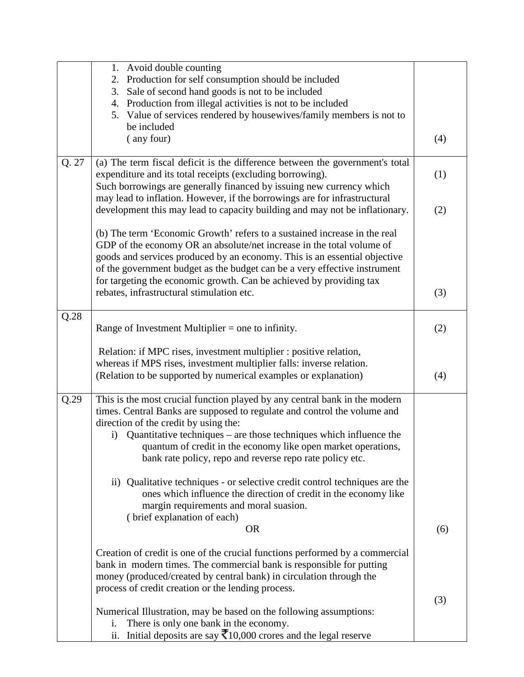|       | Avoid double counting<br>1.                                                                      |     |
|-------|--------------------------------------------------------------------------------------------------|-----|
|       | Production for self consumption should be included<br>2.                                         |     |
|       | 3. Sale of second hand goods is not to be included                                               |     |
|       | 4. Production from illegal activities is not to be included                                      |     |
|       | 5. Value of services rendered by housewives/family members is not to                             |     |
|       | be included                                                                                      |     |
|       | (any four)                                                                                       | (4) |
|       |                                                                                                  |     |
| Q. 27 | (a) The term fiscal deficit is the difference between the government's total                     |     |
|       | expenditure and its total receipts (excluding borrowing).                                        | (1) |
|       | Such borrowings are generally financed by issuing new currency which                             |     |
|       | may lead to inflation. However, if the borrowings are for infrastructural                        |     |
|       | development this may lead to capacity building and may not be inflationary.                      | (2) |
|       |                                                                                                  |     |
|       | (b) The term 'Economic Growth' refers to a sustained increase in the real                        |     |
|       | GDP of the economy OR an absolute/net increase in the total volume of                            |     |
|       | goods and services produced by an economy. This is an essential objective                        |     |
|       |                                                                                                  |     |
|       | of the government budget as the budget can be a very effective instrument                        |     |
|       | for targeting the economic growth. Can be achieved by providing tax                              |     |
|       | rebates, infrastructural stimulation etc.                                                        | (3) |
| Q.28  |                                                                                                  |     |
|       | Range of Investment Multiplier = one to infinity.                                                |     |
|       |                                                                                                  | (2) |
|       | Relation: if MPC rises, investment multiplier : positive relation,                               |     |
|       | whereas if MPS rises, investment multiplier falls: inverse relation.                             |     |
|       | (Relation to be supported by numerical examples or explanation)                                  | (4) |
|       |                                                                                                  |     |
| Q.29  | This is the most crucial function played by any central bank in the modern                       |     |
|       | times. Central Banks are supposed to regulate and control the volume and                         |     |
|       | direction of the credit by using the:                                                            |     |
|       | i) Quantitative techniques – are those techniques which influence the                            |     |
|       | quantum of credit in the economy like open market operations,                                    |     |
|       |                                                                                                  |     |
|       | bank rate policy, repo and reverse repo rate policy etc.                                         |     |
|       | ii) Qualitative techniques - or selective credit control techniques are the                      |     |
|       |                                                                                                  |     |
|       | ones which influence the direction of credit in the economy like                                 |     |
|       | margin requirements and moral suasion.                                                           |     |
|       | (brief explanation of each)                                                                      |     |
|       | <b>OR</b>                                                                                        | (6) |
|       | Creation of credit is one of the crucial functions performed by a commercial                     |     |
|       | bank in modern times. The commercial bank is responsible for putting                             |     |
|       | money (produced/created by central bank) in circulation through the                              |     |
|       |                                                                                                  |     |
|       | process of credit creation or the lending process.                                               |     |
|       |                                                                                                  | (3) |
|       | Numerical Illustration, may be based on the following assumptions:                               |     |
|       | There is only one bank in the economy.<br>i.                                                     |     |
|       | Initial deposits are say $\bar{\mathbf{\mathcal{F}}}$ 10,000 crores and the legal reserve<br>ii. |     |